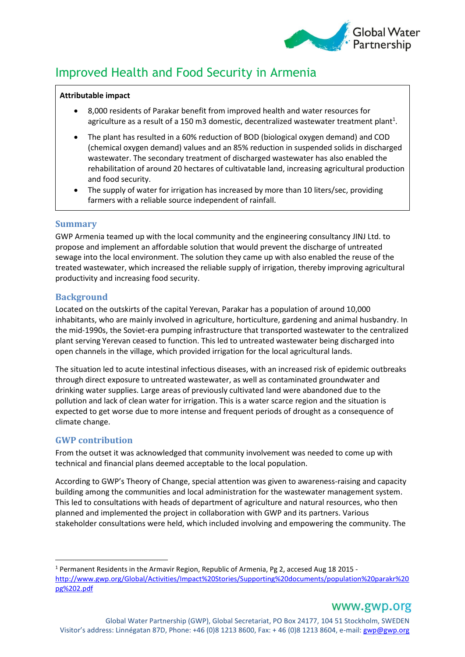

# Improved Health and Food Security in Armenia

### **Attributable impact**

- 8,000 residents of Parakar benefit from improved health and water resources for agriculture as a result of a 150 m3 domestic, decentralized wastewater treatment plant<sup>1</sup>.
- The plant has resulted in a 60% reduction of BOD (biological oxygen demand) and COD (chemical oxygen demand) values and an 85% reduction in suspended solids in discharged wastewater. The secondary treatment of discharged wastewater has also enabled the rehabilitation of around 20 hectares of cultivatable land, increasing agricultural production and food security.
- The supply of water for irrigation has increased by more than 10 liters/sec, providing farmers with a reliable source independent of rainfall.

# **Summary**

GWP Armenia teamed up with the local community and the engineering consultancy JINJ Ltd. to propose and implement an affordable solution that would prevent the discharge of untreated sewage into the local environment. The solution they came up with also enabled the reuse of the treated wastewater, which increased the reliable supply of irrigation, thereby improving agricultural productivity and increasing food security.

# **Background**

Located on the outskirts of the capital Yerevan, Parakar has a population of around 10,000 inhabitants, who are mainly involved in agriculture, horticulture, gardening and animal husbandry. In the mid-1990s, the Soviet-era pumping infrastructure that transported wastewater to the centralized plant serving Yerevan ceased to function. This led to untreated wastewater being discharged into open channels in the village, which provided irrigation for the local agricultural lands.

The situation led to acute intestinal infectious diseases, with an increased risk of epidemic outbreaks through direct exposure to untreated wastewater, as well as contaminated groundwater and drinking water supplies. Large areas of previously cultivated land were abandoned due to the pollution and lack of clean water for irrigation. This is a water scarce region and the situation is expected to get worse due to more intense and frequent periods of drought as a consequence of climate change.

# **GWP contribution**

 $\overline{a}$ 

From the outset it was acknowledged that community involvement was needed to come up with technical and financial plans deemed acceptable to the local population.

According to GWP's Theory of Change, special attention was given to awareness-raising and capacity building among the communities and local administration for the wastewater management system. This led to consultations with heads of department of agriculture and natural resources, who then planned and implemented the project in collaboration with GWP and its partners. Various stakeholder consultations were held, which included involving and empowering the community. The

<sup>&</sup>lt;sup>1</sup> Permanent Residents in the Armavir Region, Republic of Armenia, Pg 2, accesed Aug 18 2015 [http://www.gwp.org/Global/Activities/Impact%20Stories/Supporting%20documents/population%20parakr%20](http://www.gwp.org/Global/Activities/Impact%20Stories/Supporting%20documents/population%20parakr%20pg%202.pdf) [pg%202.pdf](http://www.gwp.org/Global/Activities/Impact%20Stories/Supporting%20documents/population%20parakr%20pg%202.pdf)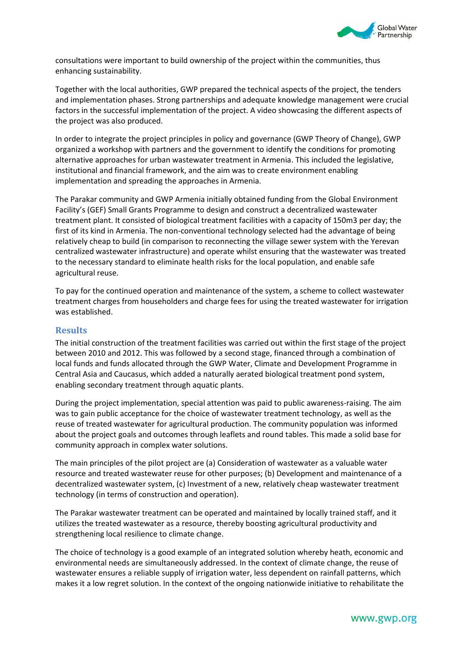

consultations were important to build ownership of the project within the communities, thus enhancing sustainability.

Together with the local authorities, GWP prepared the technical aspects of the project, the tenders and implementation phases. Strong partnerships and adequate knowledge management were crucial factors in the successful implementation of the project. A video showcasing the different aspects of the project was also produced.

In order to integrate the project principles in policy and governance (GWP Theory of Change), GWP organized a workshop with partners and the government to identify the conditions for promoting alternative approaches for urban wastewater treatment in Armenia. This included the legislative, institutional and financial framework, and the aim was to create environment enabling implementation and spreading the approaches in Armenia.

The Parakar community and GWP Armenia initially obtained funding from the Global Environment Facility's (GEF) Small Grants Programme to design and construct a decentralized wastewater treatment plant. It consisted of biological treatment facilities with a capacity of 150m3 per day; the first of its kind in Armenia. The non-conventional technology selected had the advantage of being relatively cheap to build (in comparison to reconnecting the village sewer system with the Yerevan centralized wastewater infrastructure) and operate whilst ensuring that the wastewater was treated to the necessary standard to eliminate health risks for the local population, and enable safe agricultural reuse.

To pay for the continued operation and maintenance of the system, a scheme to collect wastewater treatment charges from householders and charge fees for using the treated wastewater for irrigation was established.

### **Results**

The initial construction of the treatment facilities was carried out within the first stage of the project between 2010 and 2012. This was followed by a second stage, financed through a combination of local funds and funds allocated through the GWP Water, Climate and Development Programme in Central Asia and Caucasus, which added a naturally aerated biological treatment pond system, enabling secondary treatment through aquatic plants.

During the project implementation, special attention was paid to public awareness-raising. The aim was to gain public acceptance for the choice of wastewater treatment technology, as well as the reuse of treated wastewater for agricultural production. The community population was informed about the project goals and outcomes through leaflets and round tables. This made a solid base for community approach in complex water solutions.

The main principles of the pilot project are (a) Consideration of wastewater as a valuable water resource and treated wastewater reuse for other purposes; (b) Development and maintenance of a decentralized wastewater system, (c) Investment of a new, relatively cheap wastewater treatment technology (in terms of construction and operation).

The Parakar wastewater treatment can be operated and maintained by locally trained staff, and it utilizes the treated wastewater as a resource, thereby boosting agricultural productivity and strengthening local resilience to climate change.

The choice of technology is a good example of an integrated solution whereby heath, economic and environmental needs are simultaneously addressed. In the context of climate change, the reuse of wastewater ensures a reliable supply of irrigation water, less dependent on rainfall patterns, which makes it a low regret solution. In the context of the ongoing nationwide initiative to rehabilitate the